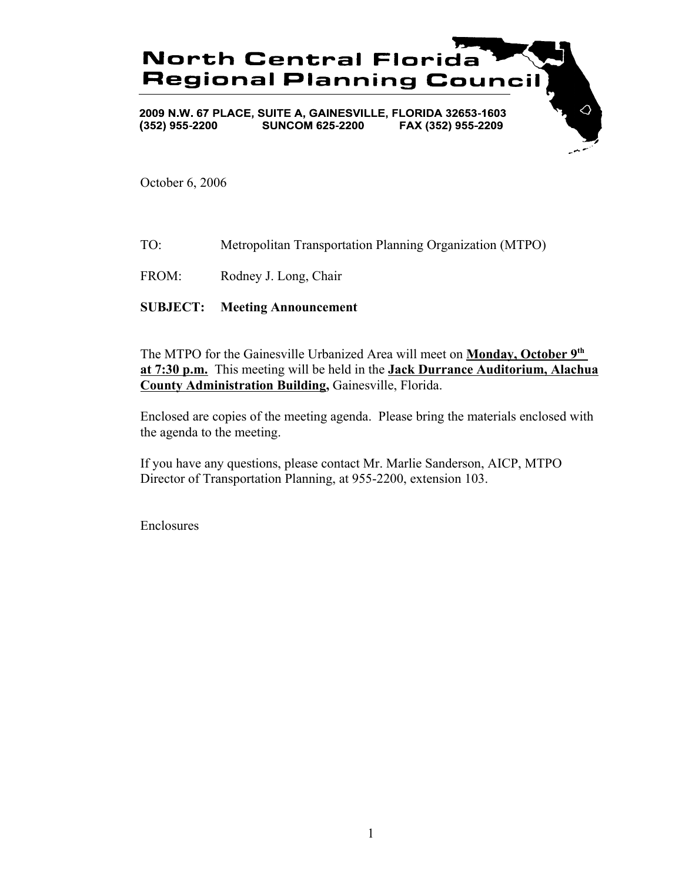

October 6, 2006

TO: Metropolitan Transportation Planning Organization (MTPO)

FROM: Rodney J. Long, Chair

**SUBJECT: Meeting Announcement**

The MTPO for the Gainesville Urbanized Area will meet on **Monday, October 9th at 7:30 p.m.** This meeting will be held in the **Jack Durrance Auditorium, Alachua County Administration Building,** Gainesville, Florida.

Enclosed are copies of the meeting agenda. Please bring the materials enclosed with the agenda to the meeting.

If you have any questions, please contact Mr. Marlie Sanderson, AICP, MTPO Director of Transportation Planning, at 955-2200, extension 103.

Enclosures